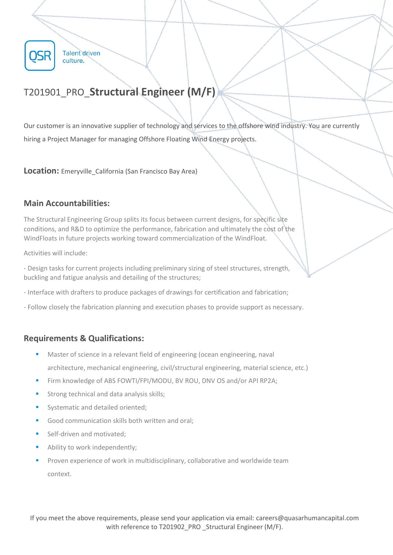

# T201901\_PRO\_**Structural Engineer (M/F)**

Our customer is an innovative supplier of technology and services to the offshore wind industry. You are currently hiring a Project Manager for managing Offshore Floating Wind Energy projects.

**Location:** Emeryville California (San Francisco Bay Area)

## **Main Accountabilities:**

The Structural Engineering Group splits its focus between current designs, for specific site conditions, and R&D to optimize the performance, fabrication and ultimately the cost of the WindFloats in future projects working toward commercialization of the WindFloat.

Activities will include:

- Design tasks for current projects including preliminary sizing of steel structures, strength, buckling and fatigue analysis and detailing of the structures;

- Interface with drafters to produce packages of drawings for certification and fabrication;

- Follow closely the fabrication planning and execution phases to provide support as necessary.

## **Requirements & Qualifications:**

- Master of science in a relevant field of engineering (ocean engineering, naval architecture, mechanical engineering, civil/structural engineering, material science, etc.)
- Firm knowledge of ABS FOWTI/FPI/MODU, BV ROU, DNV OS and/or API RP2A;
- Strong technical and data analysis skills:
- Systematic and detailed oriented;
- Good communication skills both written and oral:
- Self-driven and motivated;
- Ability to work independently;
- Proven experience of work in multidisciplinary, collaborative and worldwide team context.